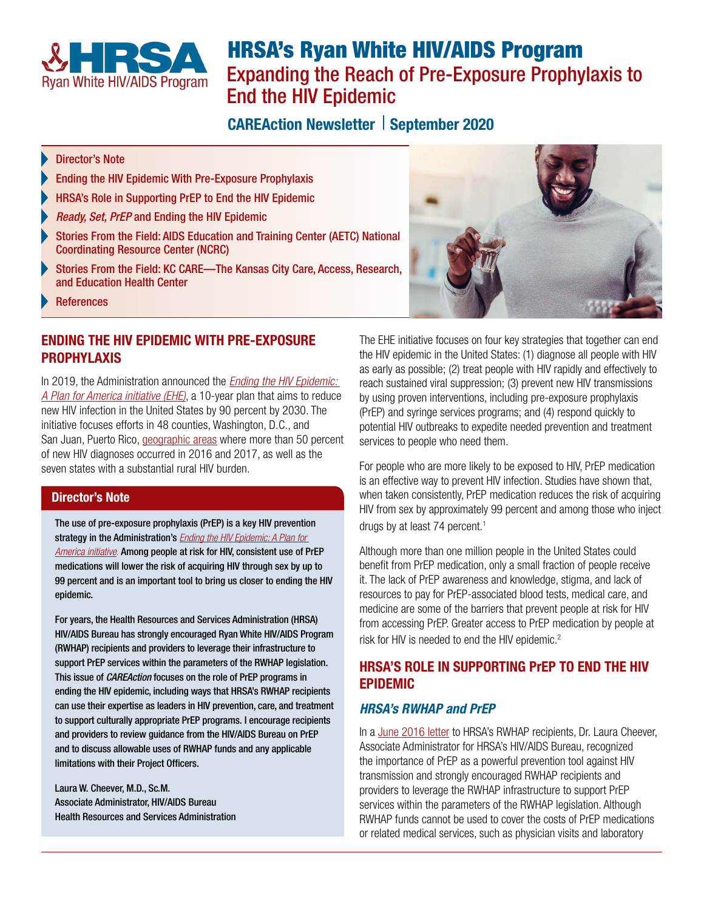<span id="page-0-1"></span>

# HRSA's Ryan White HIV/AIDS Program Expanding the Reach of Pre-Exposure Prophylaxis to End the HIV Epidemic

## **CAREAction Newsletter | September 2020**

#### Director's Note

- [Ending the HIV Epidemic With Pre-Exposure Prophylaxis](#page-0-0)
- HRSA's Role in Supporting PrEP to End the HIV Epidemic
- *Ready, Set, PrEP* [and Ending the HIV Epidemic](#page-1-0)
- [Stories From the Field: AIDS Education and Training Center \(AETC\) National](#page-1-1)  [Coordinating Resource Center \(NCRC\)](#page-1-1)
- [Stories From the Field: KC CARE—The Kansas City Care, Access, Research,](#page-1-2)  [and Education Health Center](#page-1-2)
- [References](#page-2-1)

#### <span id="page-0-0"></span>ENDING THE HIV EPIDEMIC WITH PRE-EXPOSURE PROPHYLAXIS

In 2019, the Administration announced the *[Ending the HIV Epidemic:](https://www.hiv.gov/federal-response/ending-the-hiv-epidemic/overview)  [A Plan for America](https://www.hiv.gov/federal-response/ending-the-hiv-epidemic/overview) initiative (EHE)*, a 10-year plan that aims to reduce new HIV infection in the United States by 90 percent by 2030. The initiative focuses efforts in 48 counties, Washington, D.C., and San Juan, Puerto Rico, [geographic areas](https://www.cdc.gov/endhiv/priorities.html) where more than 50 percent of new HIV diagnoses occurred in 2016 and 2017, as well as the seven states with a substantial rural HIV burden.

#### Director's Note

The use of pre-exposure prophylaxis (PrEP) is a key HIV prevention strategy in the Administration's *[Ending the HIV Epidemic: A Plan for](https://www.hiv.gov/federal-response/ending-the-hiv-epidemic/overview)  [America initiative](https://www.hiv.gov/federal-response/ending-the-hiv-epidemic/overview)*. Among people at risk for HIV, consistent use of PrEP medications will lower the risk of acquiring HIV through sex by up to 99 percent and is an important tool to bring us closer to ending the HIV epidemic.

For years, the Health Resources and Services Administration (HRSA) HIV/AIDS Bureau has strongly encouraged Ryan White HIV/AIDS Program (RWHAP) recipients and providers to leverage their infrastructure to support PrEP services within the parameters of the RWHAP legislation. This issue of *CAREAction* focuses on the role of PrEP programs in ending the HIV epidemic, including ways that HRSA's RWHAP recipients can use their expertise as leaders in HIV prevention, care, and treatment to support culturally appropriate PrEP programs. I encourage recipients and providers to review guidance from the HIV/AIDS Bureau on PrEP and to discuss allowable uses of RWHAP funds and any applicable limitations with their Project Officers.

Laura W. Cheever, M.D., Sc.M. Associate Administrator, HIV/AIDS Bureau Health Resources and Services Administration



The EHE initiative focuses on four key strategies that together can end the HIV epidemic in the United States: (1) diagnose all people with HIV as early as possible; (2) treat people with HIV rapidly and effectively to reach sustained viral suppression; (3) prevent new HIV transmissions by using proven interventions, including pre-exposure prophylaxis (PrEP) and syringe services programs; and (4) respond quickly to potential HIV outbreaks to expedite needed prevention and treatment services to people who need them.

For people who are more likely to be exposed to HIV, PrEP medication is an effective way to prevent HIV infection. Studies have shown that, when taken consistently, PrEP medication reduces the risk of acquiring HIV from sex by approximately 99 percent and among those who inject drugs by at least 74 percent.<sup>[1](#page-2-0)</sup>

Although more than one million people in the United States could benefit from PrEP medication, only a small fraction of people receive it. The lack of PrEP awareness and knowledge, stigma, and lack of resources to pay for PrEP-associated blood tests, medical care, and medicine are some of the barriers that prevent people at risk for HIV from accessing PrEP. Greater access to PrEP medication by people at risk for HIV is needed to end the HIV epidemic.<sup>2</sup>

## HRSA'S ROLE IN SUPPORTING PrEP TO END THE HIV EPIDEMIC

## *HRSA's RWHAP and PrEP*

In a [June 2016 letter](https://hab.hrsa.gov/sites/default/files/hab/Global/prepletter062216_0.pdf) to HRSA's RWHAP recipients, Dr. Laura Cheever, Associate Administrator for HRSA's HIV/AIDS Bureau, recognized the importance of PrEP as a powerful prevention tool against HIV transmission and strongly encouraged RWHAP recipients and providers to leverage the RWHAP infrastructure to support PrEP services within the parameters of the RWHAP legislation. Although RWHAP funds cannot be used to cover the costs of PrEP medications or related medical services, such as physician visits and laboratory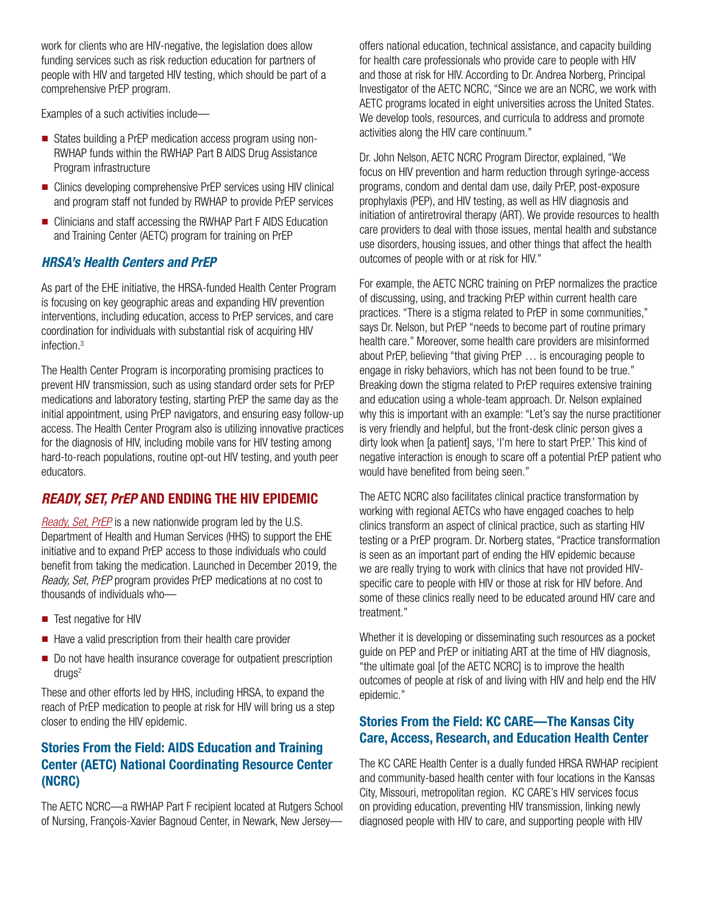<span id="page-1-3"></span>work for clients who are HIV-negative, the legislation does allow funding services such as risk reduction education for partners of people with HIV and targeted HIV testing, which should be part of a comprehensive PrEP program.

Examples of a such activities include—

- States building a PrEP medication access program using non-RWHAP funds within the RWHAP Part B AIDS Drug Assistance Program infrastructure
- Clinics developing comprehensive PrEP services using HIV clinical and program staff not funded by RWHAP to provide PrEP services
- Clinicians and staff accessing the RWHAP Part F AIDS Education and Training Center (AETC) program for training on PrEP

## *HRSA's Health Centers and PrEP*

As part of the EHE initiative, the HRSA-funded Health Center Program is focusing on key geographic areas and expanding HIV prevention interventions, including education, access to PrEP services, and care coordination for individuals with substantial risk of acquiring HIV infection.[3](#page-2-0)

The Health Center Program is incorporating promising practices to prevent HIV transmission, such as using standard order sets for PrEP medications and laboratory testing, starting PrEP the same day as the initial appointment, using PrEP navigators, and ensuring easy follow-up access. The Health Center Program also is utilizing innovative practices for the diagnosis of HIV, including mobile vans for HIV testing among hard-to-reach populations, routine opt-out HIV testing, and youth peer educators.

## <span id="page-1-0"></span>*READY, SET, PrEP* AND ENDING THE HIV EPIDEMIC

*[Ready, Set, PrEP](https://www.hiv.gov/federal-response/ending-the-hiv-epidemic/prep-program)* is a new nationwide program led by the U.S. Department of Health and Human Services (HHS) to support the EHE initiative and to expand PrEP access to those individuals who could benefit from taking the medication. Launched in December 2019, the *Ready, Set, PrEP* program provides PrEP medications at no cost to thousands of individuals who—

- Test negative for HIV
- Have a valid prescription from their health care provider
- Do not have health insurance coverage for outpatient prescription drugs 2

These and other efforts led by HHS, including HRSA, to expand the reach of PrEP medication to people at risk for HIV will bring us a step closer to ending the HIV epidemic.

## <span id="page-1-1"></span>Stories From the Field: AIDS Education and Training Center (AETC) National Coordinating Resource Center (NCRC)

The AETC NCRC—a RWHAP Part F recipient located at Rutgers School of Nursing, François-Xavier Bagnoud Center, in Newark, New Jerseyoffers national education, technical assistance, and capacity building for health care professionals who provide care to people with HIV and those at risk for HIV. According to Dr. Andrea Norberg, Principal Investigator of the AETC NCRC, "Since we are an NCRC, we work with AETC programs located in eight universities across the United States. We develop tools, resources, and curricula to address and promote activities along the HIV care continuum."

Dr. John Nelson, AETC NCRC Program Director, explained, "We focus on HIV prevention and harm reduction through syringe-access programs, condom and dental dam use, daily PrEP, post-exposure prophylaxis (PEP), and HIV testing, as well as HIV diagnosis and initiation of antiretroviral therapy (ART). We provide resources to health care providers to deal with those issues, mental health and substance use disorders, housing issues, and other things that affect the health outcomes of people with or at risk for HIV."

For example, the AETC NCRC training on PrEP normalizes the practice of discussing, using, and tracking PrEP within current health care practices. "There is a stigma related to PrEP in some communities," says Dr. Nelson, but PrEP "needs to become part of routine primary health care." Moreover, some health care providers are misinformed about PrEP, believing "that giving PrEP … is encouraging people to engage in risky behaviors, which has not been found to be true." Breaking down the stigma related to PrEP requires extensive training and education using a whole-team approach. Dr. Nelson explained why this is important with an example: "Let's say the nurse practitioner is very friendly and helpful, but the front-desk clinic person gives a dirty look when [a patient] says, 'I'm here to start PrEP.' This kind of negative interaction is enough to scare off a potential PrEP patient who would have benefited from being seen."

The AETC NCRC also facilitates clinical practice transformation by working with regional AETCs who have engaged coaches to help clinics transform an aspect of clinical practice, such as starting HIV testing or a PrEP program. Dr. Norberg states, "Practice transformation is seen as an important part of ending the HIV epidemic because we are really trying to work with clinics that have not provided HIVspecific care to people with HIV or those at risk for HIV before. And some of these clinics really need to be educated around HIV care and treatment."

Whether it is developing or disseminating such resources as a pocket guide on PEP and PrEP or initiating ART at the time of HIV diagnosis, "the ultimate goal [of the AETC NCRC] is to improve the health outcomes of people at risk of and living with HIV and help end the HIV epidemic."

## <span id="page-1-2"></span>Stories From the Field: KC CARE—The Kansas City Care, Access, Research, and Education Health Center

The KC CARE Health Center is a dually funded HRSA RWHAP recipient and community-based health center with four locations in the Kansas City, Missouri, metropolitan region. KC CARE's HIV services focus on providing education, preventing HIV transmission, linking newly diagnosed people with HIV to care, and supporting people with HIV